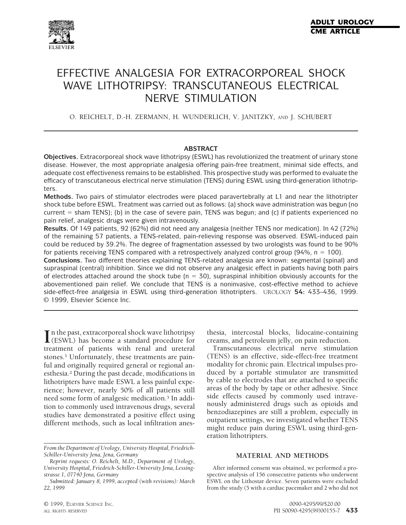

# EFFECTIVE ANALGESIA FOR EXTRACORPOREAL SHOCK WAVE LITHOTRIPSY: TRANSCUTANEOUS ELECTRICAL NERVE STIMULATION

O. REICHELT, D.-H. ZERMANN, H. WUNDERLICH, V. JANITZKY, AND J. SCHUBERT

## **ABSTRACT**

**Objectives.** Extracorporeal shock wave lithotripsy (ESWL) has revolutionized the treatment of urinary stone disease. However, the most appropriate analgesia offering pain-free treatment, minimal side effects, and adequate cost effectiveness remains to be established. This prospective study was performed to evaluate the efficacy of transcutaneous electrical nerve stimulation (TENS) during ESWL using third-generation lithotripters.

**Methods.** Two pairs of stimulator electrodes were placed paravertebrally at L1 and near the lithotripter shock tube before ESWL. Treatment was carried out as follows: (a) shock wave administration was begun (no current  $=$  sham TENS); (b) in the case of severe pain, TENS was begun; and (c) if patients experienced no pain relief, analgesic drugs were given intravenously.

**Results.** Of 149 patients, 92 (62%) did not need any analgesia (neither TENS nor medication). In 42 (72%) of the remaining 57 patients, a TENS-related, pain-relieving response was observed. ESWL-induced pain could be reduced by 39.2%. The degree of fragmentation assessed by two urologists was found to be 90% for patients receiving TENS compared with a retrospectively analyzed control group (94%,  $n = 100$ ).

**Conclusions.** Two different theories explaining TENS-related analgesia are known: segmental (spinal) and supraspinal (central) inhibition. Since we did not observe any analgesic effect in patients having both pairs of electrodes attached around the shock tube ( $n = 30$ ), supraspinal inhibition obviously accounts for the abovementioned pain relief. We conclude that TENS is a noninvasive, cost-effective method to achieve side-effect-free analgesia in ESWL using third-generation lithotripters. UROLOGY **54:** 433–436, 1999. © 1999, Elsevier Science Inc.

**I** in the past, extracorporeal shock wave lithotripsy<br>
(ESWL) has become a standard procedure for (ESWL) has become a standard procedure for treatment of patients with renal and ureteral stones.<sup>1</sup> Unfortunately, these treatments are painful and originally required general or regional anesthesia.2 During the past decade, modifications in lithotripters have made ESWL a less painful experience; however, nearly 50% of all patients still need some form of analgesic medication.3 In addition to commonly used intravenous drugs, several studies have demonstrated a positive effect using different methods, such as local infiltration anes-

thesia, intercostal blocks, lidocaine-containing creams, and petroleum jelly, on pain reduction.

Transcutaneous electrical nerve stimulation (TENS) is an effective, side-effect-free treatment modality for chronic pain. Electrical impulses produced by a portable stimulator are transmitted by cable to electrodes that are attached to specific areas of the body by tape or other adhesive. Since side effects caused by commonly used intravenously administered drugs such as opioids and benzodiazepines are still a problem, especially in outpatient settings, we investigated whether TENS might reduce pain during ESWL using third-generation lithotripters.

### **MATERIAL AND METHODS**

After informed consent was obtained, we performed a prospective analysis of 156 consecutive patients who underwent ESWL on the Lithostar device. Seven patients were excluded from the study (5 with a cardiac pacemaker and 2 who did not

*From the Department of Urology, University Hospital, Friedrich-Schiller-University Jena, Jena, Germany*

*Reprint requests: O. Reichelt, M.D., Department of Urology, University Hospital, Friedrich-Schiller-University Jena, Lessingstrasse 1, 07740 Jena, Germany*

*Submitted: January 8, 1999, accepted (with revisions): March 22, 1999*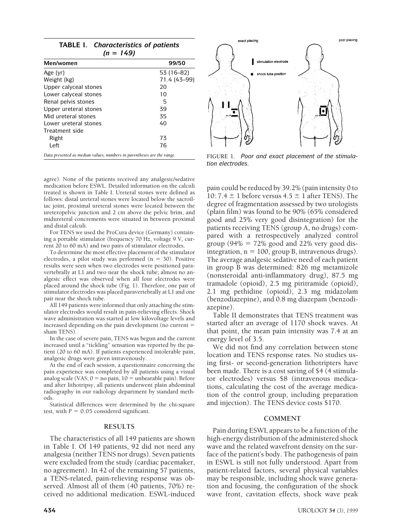| Men/women             | 99/50        |
|-----------------------|--------------|
| Age (yr)              | 53 (16-82)   |
| Weight (kg)           | 71.4 (43-99) |
| Upper calyceal stones | 20           |
| Lower calyceal stones | 10           |
| Renal pelvis stones   | 5            |
| Upper ureteral stones | 39           |
| Mid ureteral stones   | 35           |
| Lower ureteral stones | 40           |
| Treatment side        |              |
| Right                 | 73           |
| Left                  | 76           |

agree). None of the patients received any analgesic/sedative medication before ESWL. Detailed information on the calculi treated is shown in Table I. Ureteral stones were defined as follows: distal ureteral stones were located below the sacroiliac joint, proximal ureteral stones were located between the ureteropelvic junction and 2 cm above the pelvic brim, and midureteral concrements were situated in between proximal and distal calculi.

For TENS we used the ProCura device (Germany) containing a portable stimulator (frequency 70 Hz, voltage 9 V, current 20 to 60 mA) and two pairs of stimulator electrodes.

To determine the most effective placement of the stimulator electrodes, a pilot study was performed ( $n = 30$ ). Positive results were seen when two electrodes were positioned paravertebrally at L1 and two near the shock tube; almost no analgesic effect was observed when all four electrodes were placed around the shock tube (Fig. 1). Therefore, one pair of stimulator electrodes was placed paravertebrally at L1 and one pair near the shock tube.

All 149 patients were informed that only attaching the stimulator electrodes would result in pain-relieving effects. Shock wave administration was started at low kilovoltage levels and increased depending on the pain development (no current  $=$ sham TENS).

In the case of severe pain, TENS was begun and the current increased until a "tickling" sensation was reported by the patient (20 to 60 mA). If patients experienced intolerable pain, analgesic drugs were given intravenously.

At the end of each session, a questionnaire concerning the pain experience was completed by all patients using a visual analog scale (VAS;  $0 =$  no pain,  $10 =$  unbearable pain). Before and after lithotripsy, all patients underwent plain abdominal radiography in our radiology department by standard methods.

Statistical differences were determined by the chi-square test, with  $P = 0.05$  considered significant.

## **RESULTS**

The characteristics of all 149 patients are shown in Table I. Of 149 patients, 92 did not need any analgesia (neither TENS nor drugs). Seven patients were excluded from the study (cardiac pacemaker, no agreement). In 42 of the remaining 57 patients, a TENS-related, pain-relieving response was observed. Almost all of them (40 patients, 70%) received no additional medication. ESWL-induced



FIGURE 1. *Poor and exact placement of the stimulation electrodes.*

pain could be reduced by 39.2% (pain intensity 0 to 10: 7.4  $\pm$  1 before versus 4.5  $\pm$  1 after TENS). The degree of fragmentation assessed by two urologists (plain film) was found to be 90% (65% considered good and 25% very good disintegration) for the patients receiving TENS (group A, no drugs) compared with a retrospectively analyzed control group (94%  $= 72\%$  good and 22% very good disintegration,  $n = 100$ , group B, intravenous drugs). The average analgesic sedative need of each patient in group B was determined: 826 mg metamizole (nonsteroidal anti-inflammatory drug), 87.5 mg tramadole (opioid), 2.5 mg piritramide (opioid), 2.1 mg pethidine (opioid), 2.3 mg midazolam (benzodiazepine), and 0.8 mg diazepam (benzodiazepine).

Table II demonstrates that TENS treatment was started after an average of 1170 shock waves. At that point, the mean pain intensity was 7.4 at an energy level of 3.5.

We did not find any correlation between stone location and TENS response rates. No studies using first- or second-generation lithotripters have been made. There is a cost saving of \$4 (4 stimulator electrodes) versus \$8 (intravenous medications, calculating the cost of the average medication of the control group, including preparation and injection). The TENS device costs \$170.

#### **COMMENT**

Pain during ESWL appears to be a function of the high-energy distribution of the administered shock wave and the related wavefront density on the surface of the patient's body. The pathogenesis of pain in ESWL is still not fully understood. Apart from patient-related factors, several physical variables may be responsible, including shock wave generation and focusing, the configuration of the shock wave front, cavitation effects, shock wave peak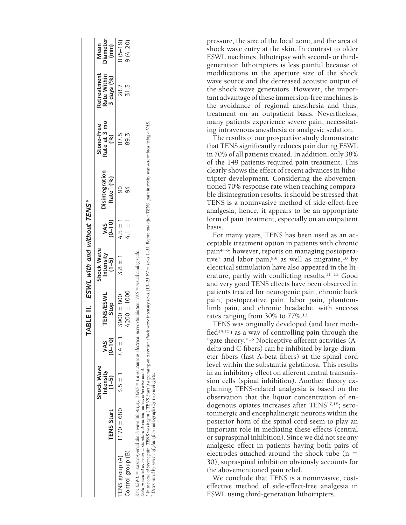|                                                                                                                                                                                                                                                                                                                                                                                                                     |                   |                                      |                   | TABLE II. ESWL with and without TENS* |                                      |                      |                                         |                                               |                                          |                                 |
|---------------------------------------------------------------------------------------------------------------------------------------------------------------------------------------------------------------------------------------------------------------------------------------------------------------------------------------------------------------------------------------------------------------------|-------------------|--------------------------------------|-------------------|---------------------------------------|--------------------------------------|----------------------|-----------------------------------------|-----------------------------------------------|------------------------------------------|---------------------------------|
|                                                                                                                                                                                                                                                                                                                                                                                                                     | <b>TENS Start</b> | Shock Wave<br>Intensity<br>$(1 - 5)$ | $(0 - 10)$<br>VAS | <b>TENS/ESWL</b><br>Stop              | Shock Wave<br>Intensity<br>$(1 - 5)$ | $\frac{VAS}{(0-10)}$ | Disintegration<br>Rate <sup>†</sup> (%) | Rate at 3 mo<br>$\binom{96}{0}$<br>Stone-Free | Retreatment<br>Rate Within<br>3 days (%) | <b>Diameter</b><br>Mean<br>(mm) |
| TENS group (A)                                                                                                                                                                                                                                                                                                                                                                                                      | $1170 \pm 680$    | $3.5 + 1$                            | $7.4 \pm 1$       | 3900 ± 800                            | $3.8 \pm 1$                          | $4.5 \pm 1$          |                                         | 87.5                                          | 28.7                                     | $8(5-19)$                       |
| Control group (B)                                                                                                                                                                                                                                                                                                                                                                                                   |                   |                                      |                   | 4200 ± 1000                           |                                      | 4.1 $\pm$ 1          |                                         | 89.3                                          | 31.3                                     | $9(4 - 20)$                     |
| * In the case of severe main. TENS was beenny throw in the Started on a certain shock wave intensity level (10–25 kV = level 1–5). Before and after TENS nain intensity was determined usine a VAS<br>KEY: ESWL = extracorporeal shock wave lithotripsy; TENS = transcutaneous electrical nerve stimulation; VAS = visual analog scale.<br>Data presented as mean $\pm$ standard deviation, unless otherwise noted. |                   |                                      |                   |                                       |                                      |                      |                                         |                                               |                                          |                                 |

\* In the case of severe pain, TENS was begun ("TENS start") depending on a certain shock wave intensity level (10-25 kV = level 1-5). Before and after TENS, pain intensity was determined using a VAS. *Determined by review of plain film radiographs by two urologists.*†

pressure, the size of the focal zone, and the area of shock wave entry at the skin. In contrast to older ESWL machines, lithotripsy with second- or thirdgeneration lithotripters is less painful because of modifications in the aperture size of the shock wave source and the decreased acoustic output of the shock wave generators. However, the important advantage of these immersion-free machines is the avoidance of regional anesthesia and thus, treatment on an outpatient basis. Nevertheless, many patients experience severe pain, necessitating intravenous anesthesia or analgesic sedation.

The results of our prospective study demonstrate that TENS significantly reduces pain during ESWL in 70% of all patients treated. In addition, only 38% of the 149 patients required pain treatment. This clearly shows the effect of recent advances in lithotripter development. Considering the abovementioned 70% response rate when reaching comparable disintegration results, it should be stressed that TENS is a noninvasive method of side-effect-free analgesia; hence, it appears to be an appropriate form of pain treatment, especially on an outpatient basis.

For many years, TENS has been used as an acceptable treatment option in patients with chronic pain4–6; however, reports on managing postoperative<sup>7</sup> and labor pain, $8.9$  as well as migraine,  $10$  by electrical stimulation have also appeared in the literature, partly with conflicting results.11–13 Good and very good TENS effects have been observed in patients treated for neurogenic pain, chronic back pain, postoperative pain, labor pain, phantomlimb pain, and chronic headache, with success rates ranging from 30% to 77%.13

TENS was originally developed (and later modified<sup>14,15</sup>) as a way of controlling pain through the "gate theory."16 Nociceptive afferent activities (Adelta and C-fibers) can be inhibited by large-diameter fibers (fast A-beta fibers) at the spinal cord level within the substantia gelatinosa. This results in an inhibitory effect on afferent central transmission cells (spinal inhibition). Another theory explaining TENS-related analgesia is based on the observation that the liquor concentration of endogenous opiates increases after TENS17,18; serotoninergic and encephalinergic neurons within the posterior horn of the spinal cord seem to play an important role in mediating these effects (central or supraspinal inhibition). Since we did not see any analgesic effect in patients having both pairs of electrodes attached around the shock tube  $(n =$ 30), supraspinal inhibition obviously accounts for the abovementioned pain relief.

We conclude that TENS is a noninvasive, costeffective method of side-effect-free analgesia in ESWL using third-generation lithotripters.